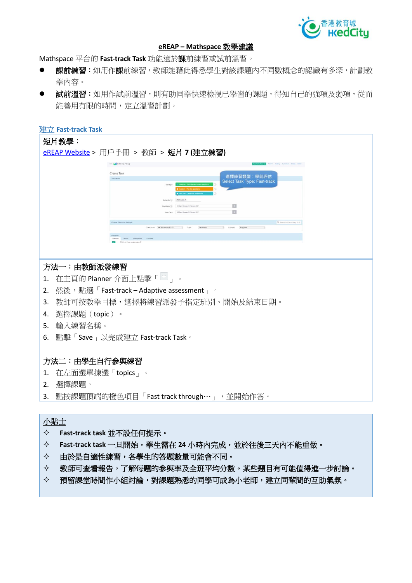

# **eREAP – Mathspace 教學建議**

Mathspace **平台的 Fast-track Task 功能適於課前練習或試前溫習。**

- **課前練習:**如用作課前練習,教師能藉此得悉學生對該課題內不同數概念的認識有多深,計劃教 **學內容。**
- **試前溫習:**如用作試前溫習,則有助同學快速檢視已學習的課題,得知自己的強項及弱項,從而 **能善用有限的時間,定立溫習計劃。**

| 建立 Fast-track Task                                                                                      |
|---------------------------------------------------------------------------------------------------------|
| 短片教學:                                                                                                   |
| eREAP Website > 用戶手冊 > 教師 > 短片 7 (建立練習)                                                                 |
| MATHSPACE<br><b>CATELY Parrer Matery Curriculum Crooks Ad</b>                                           |
| Create Task<br>選擇練習類型:學前評估                                                                              |
| Task details<br><b>Select Task Type: Fast-track</b>                                                     |
|                                                                                                         |
| Assign to (1)                                                                                           |
| D<br>4.45 pm Monday 20 February 2017<br>$\boxed{\square}$<br>5.00 pm Monday 20 February 205<br>Due Date |
| toose Topic and Subtop<br>Q. Search HK Secondary S1-5                                                   |
| Curriculum: HK Secondary S1-S3                                                                          |
|                                                                                                         |
|                                                                                                         |
|                                                                                                         |
| 方法一:由教師派發練習                                                                                             |
| 在主頁的 Planner 介面上點擊「上」。<br>1.                                                                            |
|                                                                                                         |
| 2. 然後,點選「Fast-track – Adaptive assessment 」。                                                            |
| 教師可按教學目標,選擇將練習派發予指定班別、開始及結束日期。<br>3.                                                                    |
| 4. 選擇課題 (topic) 。                                                                                       |
| 5. 輸入練習名稱。                                                                                              |
| 6. 點擊「Save」以完成建立 Fast-track Task。                                                                       |
|                                                                                                         |
|                                                                                                         |
| 方法二:由學生自行参與練習                                                                                           |
| 在左面選單揀選「topics」。<br>1.                                                                                  |
| 選擇課題。<br>2.                                                                                             |
|                                                                                                         |
| 點按課題頂端的橙色項目「Fast track through… 」,並開始作答。<br>3.                                                          |

# **小貼士**

- **Fast-track task 並不設任何提示。**
- **Fast-track task 一旦開始,學生需在 24 小時內完成,並於往後三天內不能重做。**
- **由於是自適性練習,各學生的答題數量可能會不同。**
- **教師可查看報告,了解每題的參與率及全班平均分數。某些題目有可能值得進一步討論。**
- **預留課堂時間作小組討論,對課題熟悉的同學可成為小老師,建立同輩間的互助氣氛。**